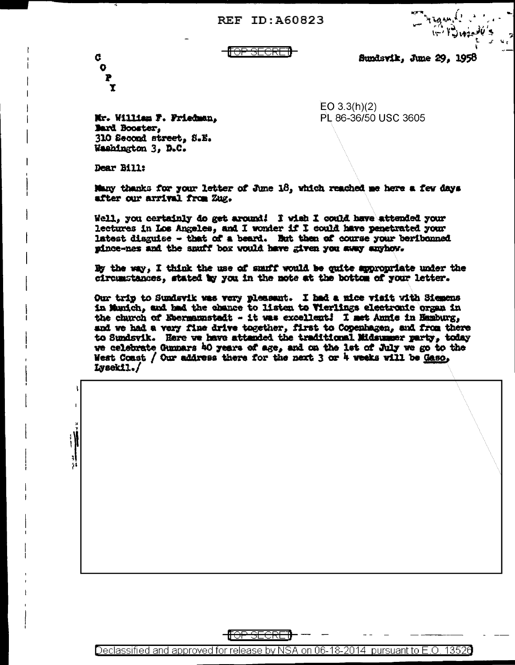REF ID: A60823



Sundsvik, June 29, 1958

 $EO 3.3(h)(2)$ 

PL 86-36/50 USC 3605

Mr. William F. Friedman, Bard Booster. 310 Second street, S.E. Washington 3, D.C.

Dear Bill:

Ć

Ō

Many thanks for your letter of June 18, which reached me here a few days after our arrival from Zug.

Well, you certainly do get around! I wish I could have attended your lectures in Los Angeles, and I wonder if I could have penetrated your latest disguise - that of a beard. But then of course your beribonned pince-nes and the smuff box would have given you away anyhow.

By the way. I think the use of smuff would be quite appropriate under the circumstances, stated by you in the note at the bottom of your letter.

Our trip to Sundsvik was very pleasant. I had a nice visit with Siemens in Munich, and had the chance to listen to Vierlings electronic organ in the church of Ebermannstadt - it was excellent! I met Annie in Hamburg, and we had a very fine drive together, first to Copenhagen, and from there to Sundsvik. Here we have attanded the traditional Midsummer party, today we celebrate Gunnars 40 years of age, and on the lat of July we go to the West Coast / Our address there for the next 3 or 4 weeks will be Gaso, Lvsekil./